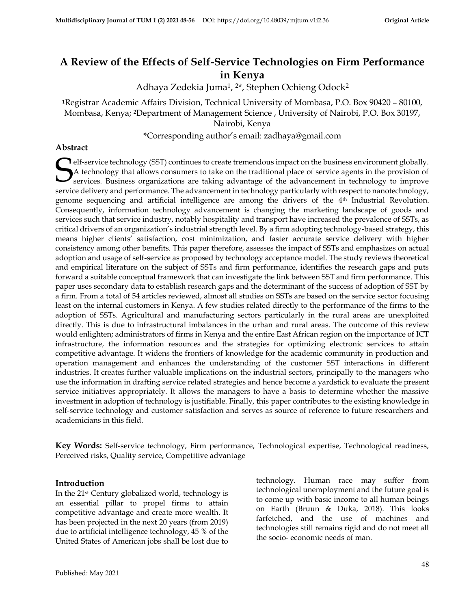# **A Review of the Effects of Self-Service Technologies on Firm Performance in Kenya**

Adhaya Zedekia Juma1, <sup>2</sup>\*, Stephen Ochieng Odock<sup>2</sup>

<sup>1</sup>Registrar Academic Affairs Division, Technical University of Mombasa, P.O. Box 90420 – 80100, Mombasa, Kenya; 2Department of Management Science , University of Nairobi, P.O. Box 30197, Nairobi, Kenya

**\***Corresponding author's email: zadhaya@gmail.com

#### **Abstract**

**e**lf-service technology (SST) continues to create tremendous impact on the business environment globally. A technology that allows consumers to take on the traditional place of service agents in the provision of services. A technology that allows consumers to take on the traditional place of service agents in the provision of services*.* Business organizations are taking advantage of the advancement in technology to improve service delivery and performance. The advancement in technology particularly with respect to nanotechnology, genome sequencing and artificial intelligence are among the drivers of the 4 th Industrial Revolution. Consequently, information technology advancement is changing the marketing landscape of goods and services such that service industry, notably hospitality and transport have increased the prevalence of SSTs, as critical drivers of an organization's industrial strength level. By a firm adopting technology-based strategy, this means higher clients' satisfaction, cost minimization, and faster accurate service delivery with higher consistency among other benefits. This paper therefore, assesses the impact of SSTs and emphasizes on actual adoption and usage of self-service as proposed by technology acceptance model. The study reviews theoretical and empirical literature on the subject of SSTs and firm performance, identifies the research gaps and puts forward a suitable conceptual framework that can investigate the link between SST and firm performance. This paper uses secondary data to establish research gaps and the determinant of the success of adoption of SST by a firm. From a total of 54 articles reviewed, almost all studies on SSTs are based on the service sector focusing least on the internal customers in Kenya. A few studies related directly to the performance of the firms to the adoption of SSTs. Agricultural and manufacturing sectors particularly in the rural areas are unexploited directly. This is due to infrastructural imbalances in the urban and rural areas. The outcome of this review would enlighten; administrators of firms in Kenya and the entire East African region on the importance of ICT infrastructure, the information resources and the strategies for optimizing electronic services to attain competitive advantage. It widens the frontiers of knowledge for the academic community in production and operation management and enhances the understanding of the customer SST interactions in different industries. It creates further valuable implications on the industrial sectors, principally to the managers who use the information in drafting service related strategies and hence become a yardstick to evaluate the present service initiatives appropriately. It allows the managers to have a basis to determine whether the massive investment in adoption of technology is justifiable. Finally, this paper contributes to the existing knowledge in self-service technology and customer satisfaction and serves as source of reference to future researchers and academicians in this field.

**Key Words:** Self-service technology, Firm performance, Technological expertise, Technological readiness, Perceived risks, Quality service, Competitive advantage

#### **Introduction**

In the 21st Century globalized world, technology is an essential pillar to propel firms to attain competitive advantage and create more wealth. It has been projected in the next 20 years (from 2019) due to artificial intelligence technology, 45 % of the United States of American jobs shall be lost due to technology. Human race may suffer from technological unemployment and the future goal is to come up with basic income to all human beings on Earth (Bruun & Duka, 2018). This looks farfetched, and the use of machines and technologies still remains rigid and do not meet all the socio- economic needs of man.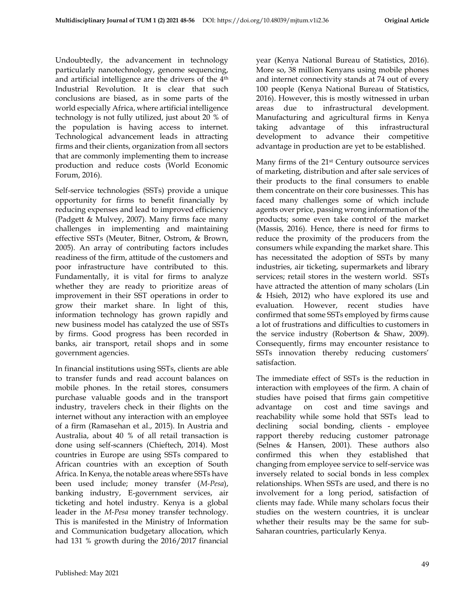Undoubtedly, the advancement in technology particularly nanotechnology, genome sequencing, and artificial intelligence are the drivers of the 4th Industrial Revolution. It is clear that such conclusions are biased, as in some parts of the world especially Africa, where artificial intelligence technology is not fully utilized, just about 20 % of the population is having access to internet. Technological advancement leads in attracting firms and their clients, organization from all sectors that are commonly implementing them to increase production and reduce costs (World Economic Forum, 2016).

Self-service technologies (SSTs) provide a unique opportunity for firms to benefit financially by reducing expenses and lead to improved efficiency (Padgett & Mulvey, 2007). Many firms face many challenges in implementing and maintaining effective SSTs (Meuter, Bitner, Ostrom, & Brown, 2005). An array of contributing factors includes readiness of the firm, attitude of the customers and poor infrastructure have contributed to this. Fundamentally, it is vital for firms to analyze whether they are ready to prioritize areas of improvement in their SST operations in order to grow their market share. In light of this, information technology has grown rapidly and new business model has catalyzed the use of SSTs by firms. Good progress has been recorded in banks, air transport, retail shops and in some government agencies.

In financial institutions using SSTs, clients are able to transfer funds and read account balances on mobile phones. In the retail stores, consumers purchase valuable goods and in the transport industry, travelers check in their flights on the internet without any interaction with an employee of a firm (Ramasehan et al., 2015). In Austria and Australia, about 40 % of all retail transaction is done using self-scanners (Chieftech, 2014). Most countries in Europe are using SSTs compared to African countries with an exception of South Africa. In Kenya, the notable areas where SSTs have been used include; money transfer (*M-Pesa*), banking industry, E-government services, air ticketing and hotel industry. Kenya is a global leader in the *M-Pesa* money transfer technology. This is manifested in the Ministry of Information and Communication budgetary allocation, which had 131 % growth during the 2016/2017 financial

year (Kenya National Bureau of Statistics, 2016). More so, 38 million Kenyans using mobile phones and internet connectivity stands at 74 out of every 100 people (Kenya National Bureau of Statistics, 2016). However, this is mostly witnessed in urban areas due to infrastructural development. Manufacturing and agricultural firms in Kenya taking advantage of this infrastructural development to advance their competitive advantage in production are yet to be established.

Many firms of the 21st Century outsource services of marketing, distribution and after sale services of their products to the final consumers to enable them concentrate on their core businesses. This has faced many challenges some of which include agents over price, passing wrong information of the products; some even take control of the market (Massis, 2016). Hence, there is need for firms to reduce the proximity of the producers from the consumers while expanding the market share. This has necessitated the adoption of SSTs by many industries, air ticketing, supermarkets and library services; retail stores in the western world. SSTs have attracted the attention of many scholars (Lin & Hsieh, 2012) who have explored its use and evaluation. However, recent studies have confirmed that some SSTs employed by firms cause a lot of frustrations and difficulties to customers in the service industry (Robertson & Shaw, 2009). Consequently, firms may encounter resistance to SSTs innovation thereby reducing customers' satisfaction.

The immediate effect of SSTs is the reduction in interaction with employees of the firm. A chain of studies have poised that firms gain competitive advantage on cost and time savings and reachability while some hold that SSTs lead to declining social bonding, clients - employee rapport thereby reducing customer patronage (Selnes & Hansen, 2001). These authors also confirmed this when they established that changing from employee service to self-service was inversely related to social bonds in less complex relationships. When SSTs are used, and there is no involvement for a long period, satisfaction of clients may fade. While many scholars focus their studies on the western countries, it is unclear whether their results may be the same for sub-Saharan countries, particularly Kenya.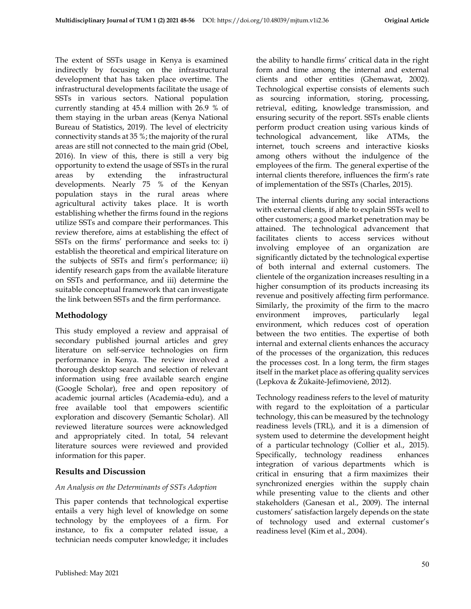The extent of SSTs usage in Kenya is examined indirectly by focusing on the infrastructural development that has taken place overtime. The infrastructural developments facilitate the usage of SSTs in various sectors. National population currently standing at 45.4 million with 26.9 % of them staying in the urban areas (Kenya National Bureau of Statistics, 2019). The level of electricity connectivity stands at 35 %; the majority of the rural areas are still not connected to the main grid (Obel, 2016). In view of this, there is still a very big opportunity to extend the usage of SSTs in the rural areas by extending the infrastructural developments. Nearly 75 % of the Kenyan population stays in the rural areas where agricultural activity takes place. It is worth establishing whether the firms found in the regions utilize SSTs and compare their performances. This review therefore, aims at establishing the effect of SSTs on the firms' performance and seeks to: i) establish the theoretical and empirical literature on the subjects of SSTs and firm's performance; ii) identify research gaps from the available literature on SSTs and performance, and iii) determine the suitable conceptual framework that can investigate the link between SSTs and the firm performance.

## **Methodology**

This study employed a review and appraisal of secondary published journal articles and grey literature on self-service technologies on firm performance in Kenya. The review involved a thorough desktop search and selection of relevant information using free available search engine (Google Scholar), free and open repository of academic journal articles (Academia-edu), and a free available tool that empowers scientific exploration and discovery (Semantic Scholar). All reviewed literature sources were acknowledged and appropriately cited. In total, 54 relevant literature sources were reviewed and provided information for this paper.

## **Results and Discussion**

## *An Analysis on the Determinants of SSTs Adoption*

This paper contends that technological expertise entails a very high level of knowledge on some technology by the employees of a firm. For instance, to fix a computer related issue, a technician needs computer knowledge; it includes

the ability to handle firms' critical data in the right form and time among the internal and external clients and other entities (Ghemawat, 2002). Technological expertise consists of elements such as sourcing information, storing, processing, retrieval, editing, knowledge transmission, and ensuring security of the report. SSTs enable clients perform product creation using various kinds of technological advancement, like ATMs, the internet, touch screens and interactive kiosks among others without the indulgence of the employees of the firm. The general expertise of the internal clients therefore, influences the firm's rate of implementation of the SSTs (Charles, 2015).

The internal clients during any social interactions with external clients, if able to explain SSTs well to other customers; a good market penetration may be attained. The technological advancement that facilitates clients to access services without involving employee of an organization are significantly dictated by the technological expertise of both internal and external customers. The clientele of the organization increases resulting in a higher consumption of its products increasing its revenue and positively affecting firm performance. Similarly, the proximity of the firm to the macro environment improves, particularly legal environment, which reduces cost of operation between the two entities. The expertise of both internal and external clients enhances the accuracy of the processes of the organization, this reduces the processes cost. In a long term, the firm stages itself in the market place as offering quality services (Lepkova & Žūkaitė-Jefimovienė, 2012).

Technology readiness refers to the level of maturity with regard to the exploitation of a particular technology, this can be measured by the technology readiness levels (TRL), and it is a dimension of system used to determine the development height of a particular technology (Collier et al., 2015). Specifically, technology readiness enhances integration of various departments which is critical in ensuring that a firm maximizes their synchronized energies within the supply chain while presenting value to the clients and other stakeholders (Ganesan et al., 2009). The internal customers' satisfaction largely depends on the state of technology used and external customer's readiness level (Kim et al., 2004).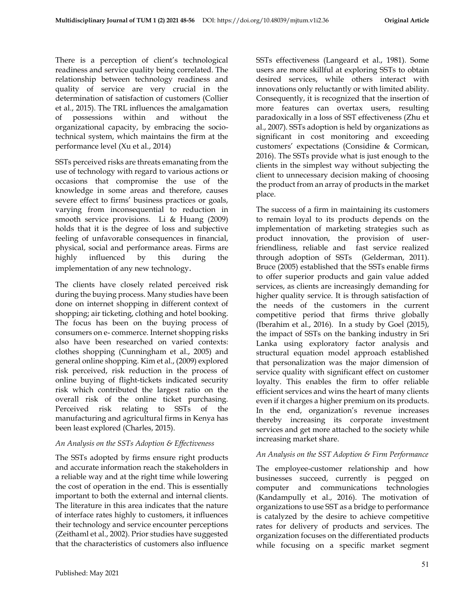There is a perception of client's technological readiness and service quality being correlated. The relationship between technology readiness and quality of service are very crucial in the determination of satisfaction of customers (Collier et al., 2015). The TRL influences the amalgamation of possessions within and without the organizational capacity, by embracing the sociotechnical system, which maintains the firm at the performance level (Xu et al., 2014)

SSTs perceived risks are threats emanating from the use of technology with regard to various actions or occasions that compromise the use of the knowledge in some areas and therefore, causes severe effect to firms' business practices or goals, varying from inconsequential to reduction in smooth service provisions. Li & Huang (2009) holds that it is the degree of loss and subjective feeling of unfavorable consequences in financial, physical, social and performance areas. Firms are highly influenced by this during the implementation of any new technology.

The clients have closely related perceived risk during the buying process. Many studies have been done on internet shopping in different context of shopping; air ticketing, clothing and hotel booking. The focus has been on the buying process of consumers on e- commerce. Internet shopping risks also have been researched on varied contexts: clothes shopping (Cunningham et al., 2005) and general online shopping. Kim et al., (2009) explored risk perceived, risk reduction in the process of online buying of flight-tickets indicated security risk which contributed the largest ratio on the overall risk of the online ticket purchasing. Perceived risk relating to SSTs of the manufacturing and agricultural firms in Kenya has been least explored (Charles, 2015).

#### *An Analysis on the SSTs Adoption & Effectiveness*

The SSTs adopted by firms ensure right products and accurate information reach the stakeholders in a reliable way and at the right time while lowering the cost of operation in the end. This is essentially important to both the external and internal clients. The literature in this area indicates that the nature of interface rates highly to customers, it influences their technology and service encounter perceptions (Zeithaml et al., 2002). Prior studies have suggested that the characteristics of customers also influence

SSTs effectiveness (Langeard et al., 1981). Some users are more skillful at exploring SSTs to obtain desired services, while others interact with innovations only reluctantly or with limited ability. Consequently, it is recognized that the insertion of more features can overtax users, resulting paradoxically in a loss of SST effectiveness (Zhu et al., 2007). SSTs adoption is held by organizations as significant in cost monitoring and exceeding customers' expectations (Considine & Cormican, 2016). The SSTs provide what is just enough to the clients in the simplest way without subjecting the client to unnecessary decision making of choosing the product from an array of products in the market place.

The success of a firm in maintaining its customers to remain loyal to its products depends on the implementation of marketing strategies such as product innovation, the provision of userfriendliness, reliable and fast service realized through adoption of SSTs (Gelderman, 2011). Bruce (2005) established that the SSTs enable firms to offer superior products and gain value added services, as clients are increasingly demanding for higher quality service. It is through satisfaction of the needs of the customers in the current competitive period that firms thrive globally (Iberahim et al., 2016). In a study by Goel (2015), the impact of SSTs on the banking industry in Sri Lanka using exploratory factor analysis and structural equation model approach established that personalization was the major dimension of service quality with significant effect on customer loyalty. This enables the firm to offer reliable efficient services and wins the heart of many clients even if it charges a higher premium on its products. In the end, organization's revenue increases thereby increasing its corporate investment services and get more attached to the society while increasing market share.

## *An Analysis on the SST Adoption & Firm Performance*

The employee-customer relationship and how businesses succeed, currently is pegged on computer and communications technologies (Kandampully et al., 2016). The motivation of organizations to use SST as a bridge to performance is catalyzed by the desire to achieve competitive rates for delivery of products and services. The organization focuses on the differentiated products while focusing on a specific market segment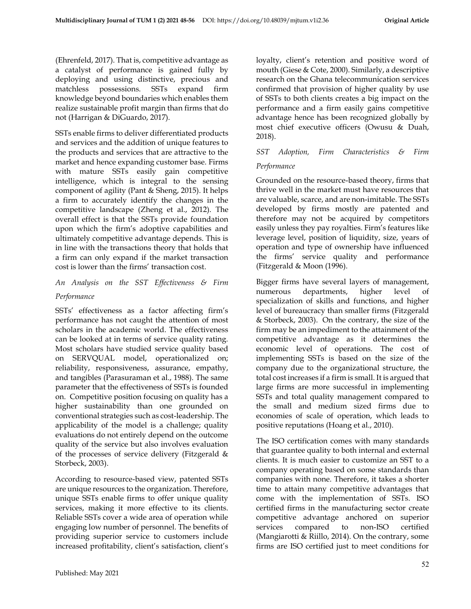(Ehrenfeld, 2017). That is, competitive advantage as a catalyst of performance is gained fully by deploying and using distinctive, precious and matchless possessions. SSTs expand firm knowledge beyond boundaries which enables them realize sustainable profit margin than firms that do not (Harrigan & DiGuardo, 2017).

SSTs enable firms to deliver differentiated products and services and the addition of unique features to the products and services that are attractive to the market and hence expanding customer base. Firms with mature SSTs easily gain competitive intelligence, which is integral to the sensing component of agility (Pant & Sheng, 2015). It helps a firm to accurately identify the changes in the competitive landscape (Zheng et al., 2012). The overall effect is that the SSTs provide foundation upon which the firm's adoptive capabilities and ultimately competitive advantage depends. This is in line with the transactions theory that holds that a firm can only expand if the market transaction cost is lower than the firms' transaction cost.

# *An Analysis on the SST Effectiveness & Firm*

#### *Performance*

SSTs' effectiveness as a factor affecting firm's performance has not caught the attention of most scholars in the academic world. The effectiveness can be looked at in terms of service quality rating. Most scholars have studied service quality based on SERVQUAL model, operationalized on; reliability, responsiveness, assurance, empathy, and tangibles (Parasuraman et al., 1988). The same parameter that the effectiveness of SSTs is founded on. Competitive position focusing on quality has a higher sustainability than one grounded on conventional strategies such as cost-leadership. The applicability of the model is a challenge; quality evaluations do not entirely depend on the outcome quality of the service but also involves evaluation of the processes of service delivery (Fitzgerald  $\&$ Storbeck, 2003).

According to resource-based view, patented SSTs are unique resources to the organization. Therefore, unique SSTs enable firms to offer unique quality services, making it more effective to its clients. Reliable SSTs cover a wide area of operation while engaging low number of personnel. The benefits of providing superior service to customers include increased profitability, client's satisfaction, client's

loyalty, client's retention and positive word of mouth (Giese & Cote, 2000). Similarly, a descriptive research on the Ghana telecommunication services confirmed that provision of higher quality by use of SSTs to both clients creates a big impact on the performance and a firm easily gains competitive advantage hence has been recognized globally by most chief executive officers (Owusu & Duah, 2018).

## *SST Adoption, Firm Characteristics & Firm Performance*

Grounded on the resource-based theory, firms that thrive well in the market must have resources that are valuable, scarce, and are non-imitable. The SSTs developed by firms mostly are patented and therefore may not be acquired by competitors easily unless they pay royalties. Firm's features like leverage level, position of liquidity, size, years of operation and type of ownership have influenced the firms' service quality and performance (Fitzgerald & Moon (1996).

Bigger firms have several layers of management, numerous departments, higher level of specialization of skills and functions, and higher level of bureaucracy than smaller firms (Fitzgerald & Storbeck, 2003). On the contrary, the size of the firm may be an impediment to the attainment of the competitive advantage as it determines the economic level of operations. The cost of implementing SSTs is based on the size of the company due to the organizational structure, the total cost increases if a firm is small. It is argued that large firms are more successful in implementing SSTs and total quality management compared to the small and medium sized firms due to economies of scale of operation, which leads to positive reputations (Hoang et al., 2010).

The ISO certification comes with many standards that guarantee quality to both internal and external clients. It is much easier to customize an SST to a company operating based on some standards than companies with none. Therefore, it takes a shorter time to attain many competitive advantages that come with the implementation of SSTs. ISO certified firms in the manufacturing sector create competitive advantage anchored on superior services compared to non-ISO certified (Mangiarotti & Riillo, 2014). On the contrary, some firms are ISO certified just to meet conditions for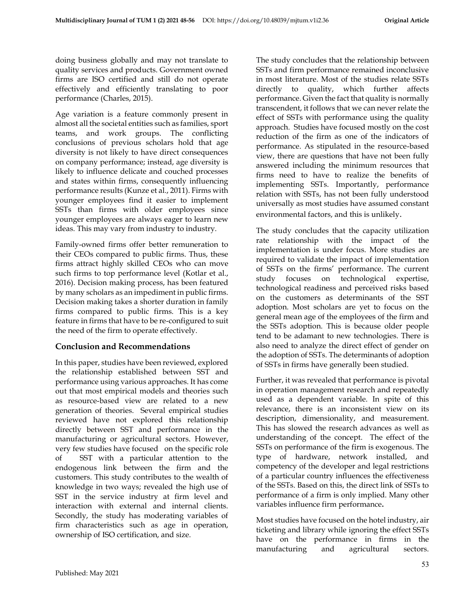doing business globally and may not translate to quality services and products. Government owned firms are ISO certified and still do not operate effectively and efficiently translating to poor performance (Charles, 2015).

Age variation is a feature commonly present in almost all the societal entities such as families, sport teams, and work groups. The conflicting conclusions of previous scholars hold that age diversity is not likely to have direct consequences on company performance; instead, age diversity is likely to influence delicate and couched processes and states within firms, consequently influencing performance results (Kunze et al., 2011). Firms with younger employees find it easier to implement SSTs than firms with older employees since younger employees are always eager to learn new ideas. This may vary from industry to industry.

Family-owned firms offer better remuneration to their CEOs compared to public firms. Thus, these firms attract highly skilled CEOs who can move such firms to top performance level (Kotlar et al., 2016). Decision making process, has been featured by many scholars as an impediment in public firms. Decision making takes a shorter duration in family firms compared to public firms. This is a key feature in firms that have to be re-configured to suit the need of the firm to operate effectively.

## **Conclusion and Recommendations**

In this paper, studies have been reviewed, explored the relationship established between SST and performance using various approaches. It has come out that most empirical models and theories such as resource-based view are related to a new generation of theories. Several empirical studies reviewed have not explored this relationship directly between SST and performance in the manufacturing or agricultural sectors. However, very few studies have focused on the specific role of SST with a particular attention to the endogenous link between the firm and the customers. This study contributes to the wealth of knowledge in two ways; revealed the high use of SST in the service industry at firm level and interaction with external and internal clients. Secondly, the study has moderating variables of firm characteristics such as age in operation, ownership of ISO certification, and size.

The study concludes that the relationship between SSTs and firm performance remained inconclusive in most literature. Most of the studies relate SSTs directly to quality, which further affects performance. Given the fact that quality is normally transcendent, it follows that we can never relate the effect of SSTs with performance using the quality approach. Studies have focused mostly on the cost reduction of the firm as one of the indicators of performance. As stipulated in the resource-based view, there are questions that have not been fully answered including the minimum resources that firms need to have to realize the benefits of implementing SSTs. Importantly, performance relation with SSTs, has not been fully understood universally as most studies have assumed constant environmental factors, and this is unlikely.

The study concludes that the capacity utilization rate relationship with the impact of the implementation is under focus. More studies are required to validate the impact of implementation of SSTs on the firms' performance. The current study focuses on technological expertise, technological readiness and perceived risks based on the customers as determinants of the SST adoption. Most scholars are yet to focus on the general mean age of the employees of the firm and the SSTs adoption. This is because older people tend to be adamant to new technologies. There is also need to analyze the direct effect of gender on the adoption of SSTs. The determinants of adoption of SSTs in firms have generally been studied.

Further, it was revealed that performance is pivotal in operation management research and repeatedly used as a dependent variable. In spite of this relevance, there is an inconsistent view on its description, dimensionality, and measurement. This has slowed the research advances as well as understanding of the concept. The effect of the SSTs on performance of the firm is exogenous. The type of hardware, network installed, and competency of the developer and legal restrictions of a particular country influences the effectiveness of the SSTs. Based on this, the direct link of SSTs to performance of a firm is only implied. Many other variables influence firm performance**.**

Most studies have focused on the hotel industry, air ticketing and library while ignoring the effect SSTs have on the performance in firms in the manufacturing and agricultural sectors.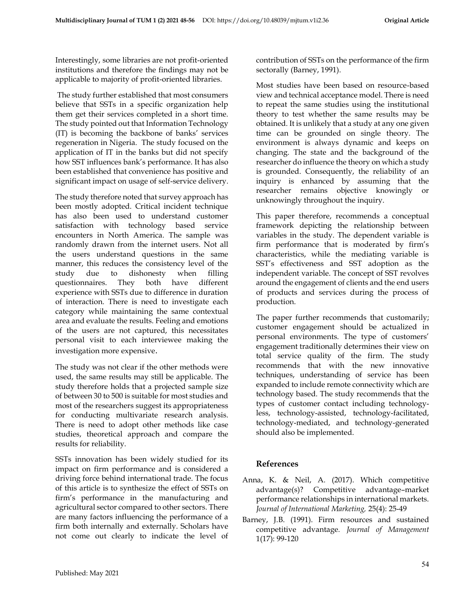Interestingly, some libraries are not profit-oriented institutions and therefore the findings may not be applicable to majority of profit-oriented libraries.

The study further established that most consumers believe that SSTs in a specific organization help them get their services completed in a short time. The study pointed out that Information Technology (IT) is becoming the backbone of banks' services regeneration in Nigeria. The study focused on the application of IT in the banks but did not specify how SST influences bank's performance. It has also been established that convenience has positive and significant impact on usage of self-service delivery.

The study therefore noted that survey approach has been mostly adopted. Critical incident technique has also been used to understand customer satisfaction with technology based service encounters in North America. The sample was randomly drawn from the internet users. Not all the users understand questions in the same manner, this reduces the consistency level of the study due to dishonesty when filling questionnaires. They both have different experience with SSTs due to difference in duration of interaction. There is need to investigate each category while maintaining the same contextual area and evaluate the results. Feeling and emotions of the users are not captured, this necessitates personal visit to each interviewee making the investigation more expensive.

The study was not clear if the other methods were used, the same results may still be applicable. The study therefore holds that a projected sample size of between 30 to 500 is suitable for most studies and most of the researchers suggest its appropriateness for conducting multivariate research analysis. There is need to adopt other methods like case studies, theoretical approach and compare the results for reliability.

SSTs innovation has been widely studied for its impact on firm performance and is considered a driving force behind international trade. The focus of this article is to synthesize the effect of SSTs on firm's performance in the manufacturing and agricultural sector compared to other sectors. There are many factors influencing the performance of a firm both internally and externally. Scholars have not come out clearly to indicate the level of

Most studies have been based on resource-based view and technical acceptance model. There is need to repeat the same studies using the institutional theory to test whether the same results may be obtained. It is unlikely that a study at any one given time can be grounded on single theory. The environment is always dynamic and keeps on changing. The state and the background of the researcher do influence the theory on which a study is grounded. Consequently, the reliability of an inquiry is enhanced by assuming that the researcher remains objective knowingly or unknowingly throughout the inquiry.

This paper therefore, recommends a conceptual framework depicting the relationship between variables in the study. The dependent variable is firm performance that is moderated by firm's characteristics, while the mediating variable is SST's effectiveness and SST adoption as the independent variable. The concept of SST revolves around the engagement of clients and the end users of products and services during the process of production.

The paper further recommends that customarily; customer engagement should be actualized in personal environments. The type of customers' engagement traditionally determines their view on total service quality of the firm. The study recommends that with the new innovative techniques, understanding of service has been expanded to include remote connectivity which are technology based. The study recommends that the types of customer contact including technologyless, technology-assisted, technology-facilitated, technology-mediated, and technology-generated should also be implemented.

## **References**

- Anna, K. & Neil, A. (2017). Which competitive advantage(s)? Competitive advantage–market performance relationships in international markets. *Journal of International Marketing,* 25(4): 25-49
- Barney, J.B. (1991). Firm resources and sustained competitive advantage*. Journal of Management*  1(17): 99-120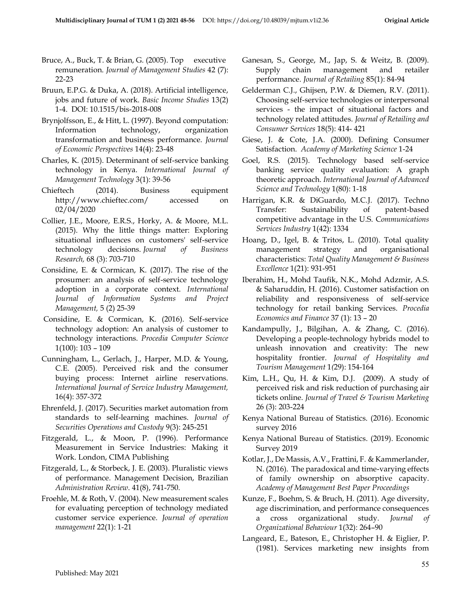- Bruce, A., Buck, T. & Brian, G.  $(2005)$ . Top executive remuneration. *Journal of Management Studies* 42 (7): 22-23
- Bruun, E.P.G. & Duka, A. (2018). Artificial intelligence, jobs and future of work. *Basic Income Studies* 13(2) 1-4. DOI: 10.1515/bis-2018-008
- Brynjolfsson, E., & Hitt, L. (1997). Beyond computation: Information technology, organization transformation and business performance. *Journal of Economic Perspectives* 14(4): 23-48
- Charles, K. (2015). Determinant of self-service banking technology in Kenya. *International Journal of Management Technology* 3(1): 39-56
- Chieftech (2014). Business equipment http://www.chieftec.com/ accessed on 02/04/2020
- Collier, J.E., Moore, E.R.S., Horky, A. & Moore, M.L. (2015). Why the little things matter: Exploring situational influences on customers' self-service technology decisions. *Journal of Business Research,* 68 (3): 703-710
- Considine, E. & Cormican, K. (2017). The rise of the prosumer: an analysis of self-service technology adoption in a corporate context. *International Journal of Information Systems and Project Management,* 5 (2) 25-39
- Considine, E. & Cormican, K. (2016). Self-service technology adoption: An analysis of customer to technology interactions. *Procedia Computer Science*  1(100): 103 – 109
- Cunningham, L., Gerlach, J., Harper, M.D. & Young, C.E. (2005). Perceived risk and the consumer buying process: Internet airline reservations. *International Journal of Service Industry Management,*  16(4): 357-372
- Ehrenfeld, J. (2017). Securities market automation from standards to self-learning machines. *Journal of Securities Operations and Custody* 9(3): 245-251
- Fitzgerald, L., & Moon, P. (1996). Performance Measurement in Service Industries: Making it Work. London, CIMA Publishing
- Fitzgerald, L., & Storbeck, J. E. (2003). Pluralistic views of performance. Management Decision, Brazilian *Administration Review*. 41(8), 741-750.
- Froehle, M. & Roth, V. (2004). New measurement scales for evaluating perception of technology mediated customer service experience. *Journal of operation management* 22(1): 1-21
- Ganesan, S., George, M., Jap, S. & Weitz, B. (2009). Supply chain management and retailer performance. *Journal of Retailing* 85(1): 84-94
- Gelderman C.J., Ghijsen, P.W. & Diemen, R.V. (2011). Choosing self-service technologies or interpersonal services - the impact of situational factors and technology related attitudes. *Journal of Retailing and Consumer Services* 18(5): 414- 421
- Giese, J. & Cote, J.A. (2000). Defining Consumer Satisfaction. *Academy of Marketing Science* 1-24
- Goel, R.S. (2015). Technology based self-service banking service quality evaluation: A graph theoretic approach. *International Journal of Advanced Science and Technology* 1(80): 1-18
- Harrigan, K.R. & DiGuardo, M.C.J. (2017). Techno Transfer: Sustainability of patent-based competitive advantage in the U.S. C*ommunications Services Industry* 1(42): 1334
- Hoang, D., Igel, B. & Tritos, L. (2010). Total quality management strategy and organisational characteristics: *Total Quality Management & Business Excellence* 1(21): 931-951
- Iberahim, H., Mohd Taufik, N.K., Mohd Adzmir, A.S. & Saharuddin, H. (2016). Customer satisfaction on reliability and responsiveness of self-service technology for retail banking Services. *Procedia Economics and Finance* 37 (1): 13 – 20
- Kandampully, J., Bilgihan, A. & Zhang, C. (2016). Developing a people-technology hybrids model to unleash innovation and creativity: The new hospitality frontier. *Journal of Hospitality and Tourism Management* 1*(*29): 154-164
- Kim, L.H., Qu, H. & Kim, D.J. (2009). A study of perceived risk and risk reduction of purchasing air tickets online. *Journal of Travel & Tourism Marketing* 26 (3): 203-224
- Kenya National Bureau of Statistics. (2016). Economic survey 2016
- Kenya National Bureau of Statistics. (2019). Economic Survey 2019
- [Kotlar, J.](http://www.research.lancs.ac.uk/portal/en/people/josip-kotlar(44fb6ca0-b98d-4efa-8992-dff0cef2b319).html), [De Massis, A.V](http://www.research.lancs.ac.uk/portal/en/people/alfredo-de-massis(501f0f1c-e653-48f3-b6a7-bdbdefd6f660).html)[., Frattini, F.](http://www.research.lancs.ac.uk/portal/en/people/federico-frattini(b0937a4f-1816-4cd4-b258-5138ae383f85).html) & Kammerlander, N. (2016). The paradoxical and time-varying effects of family ownership on absorptive capacity. *Academy of Management Best Paper Proceedings*
- Kunze, F., Boehm, S. & Bruch, H. (2011). Age diversity, age discrimination, and performance consequences a cross organizational study. *Journal of Organizational Behaviour* 1(32): 264–90
- Langeard, E., Bateson, E., Christopher H. & Eiglier, P. (1981). Services marketing new insights from